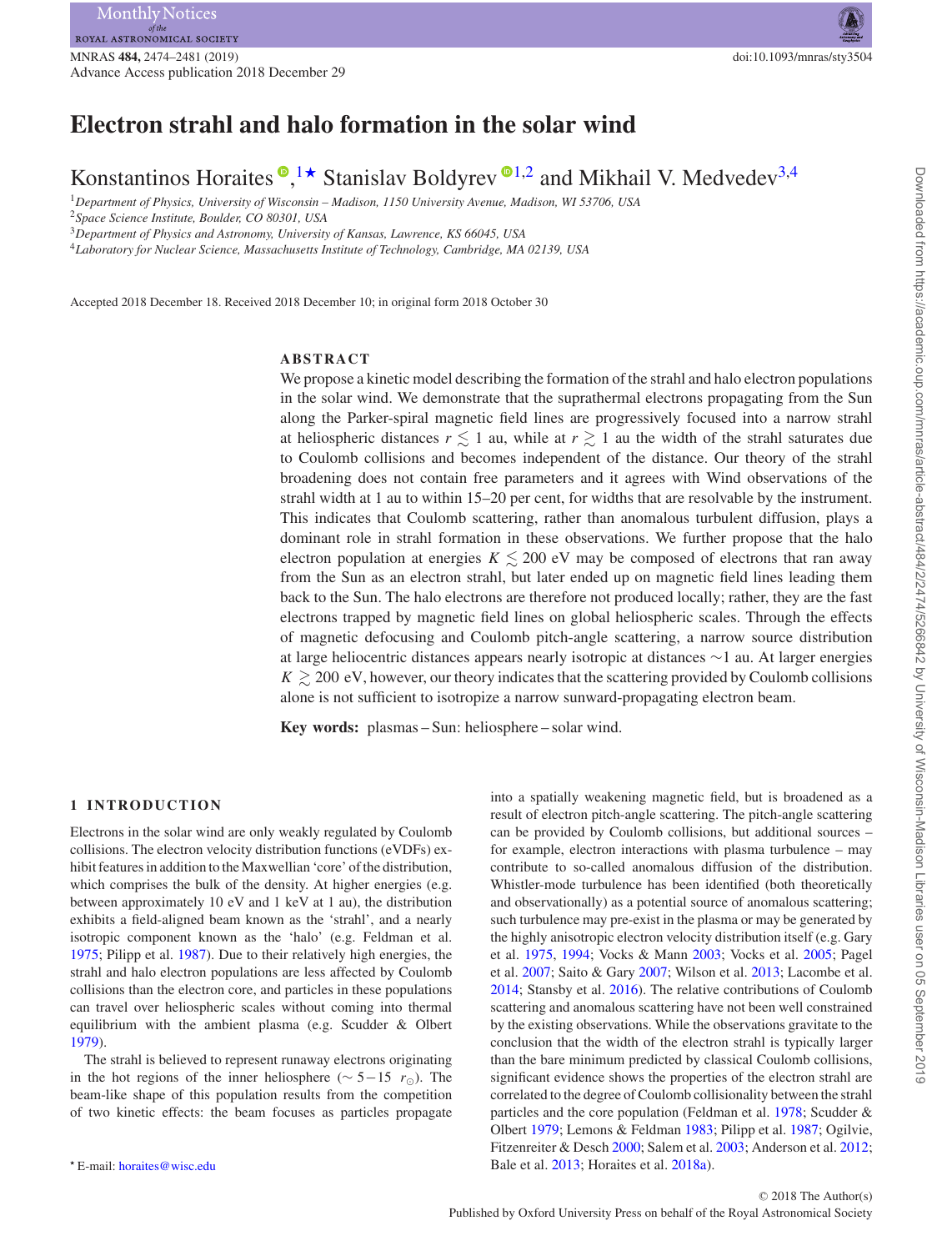# **Electron strahl and halo formation in the solar wind**

Konstantinos Horaites  $\bullet$ [,](http://orcid.org/0000-0002-0759-2964) <sup>[1](#page-0-0)</sup>  $\star$  Stanislav Boldyrev  $\bullet$  <sup>[1,](#page-0-0)[2](#page-0-2)</sup> and Mikhail V. Medvedev<sup>[3,](#page-0-3)[4](#page-0-4)</sup>

<span id="page-0-0"></span><sup>1</sup>*Department of Physics, University of Wisconsin – Madison, 1150 University Avenue, Madison, WI 53706, USA*

<span id="page-0-2"></span><sup>2</sup>*Space Science Institute, Boulder, CO 80301, USA*

<span id="page-0-3"></span><sup>3</sup>*Department of Physics and Astronomy, University of Kansas, Lawrence, KS 66045, USA*

<span id="page-0-4"></span><sup>4</sup>*Laboratory for Nuclear Science, Massachusetts Institute of Technology, Cambridge, MA 02139, USA*

Accepted 2018 December 18. Received 2018 December 10; in original form 2018 October 30

# **ABSTRACT**

We propose a kinetic model describing the formation of the strahl and halo electron populations in the solar wind. We demonstrate that the suprathermal electrons propagating from the Sun along the Parker-spiral magnetic field lines are progressively focused into a narrow strahl at heliospheric distances  $r \lesssim 1$  au, while at  $r \gtrsim 1$  au the width of the strahl saturates due to Coulomb collisions and becomes independent of the distance. Our theory of the strahl broadening does not contain free parameters and it agrees with Wind observations of the strahl width at 1 au to within 15–20 per cent, for widths that are resolvable by the instrument. This indicates that Coulomb scattering, rather than anomalous turbulent diffusion, plays a dominant role in strahl formation in these observations. We further propose that the halo electron population at energies  $K \lesssim 200$  eV may be composed of electrons that ran away from the Sun as an electron strahl, but later ended up on magnetic field lines leading them back to the Sun. The halo electrons are therefore not produced locally; rather, they are the fast electrons trapped by magnetic field lines on global heliospheric scales. Through the effects of magnetic defocusing and Coulomb pitch-angle scattering, a narrow source distribution at large heliocentric distances appears nearly isotropic at distances ∼1 au. At larger energies  $K \gtrsim 200 \text{ eV}$ , however, our theory indicates that the scattering provided by Coulomb collisions alone is not sufficient to isotropize a narrow sunward-propagating electron beam.

**Key words:** plasmas – Sun: heliosphere – solar wind.

## **1 INTRODUCTION**

Electrons in the solar wind are only weakly regulated by Coulomb collisions. The electron velocity distribution functions (eVDFs) exhibit features in addition to the Maxwellian 'core' of the distribution, which comprises the bulk of the density. At higher energies (e.g. between approximately 10 eV and 1 keV at 1 au), the distribution exhibits a field-aligned beam known as the 'strahl', and a nearly isotropic component known as the 'halo' (e.g. Feldman et al. [1975;](#page-6-0) Pilipp et al. [1987\)](#page-7-0). Due to their relatively high energies, the strahl and halo electron populations are less affected by Coulomb collisions than the electron core, and particles in these populations can travel over heliospheric scales without coming into thermal equilibrium with the ambient plasma (e.g. Scudder & Olbert [1979\)](#page-7-1).

The strahl is believed to represent runaway electrons originating in the hot regions of the inner heliosphere ( $\sim$  5−15  $r_{\odot}$ ). The beam-like shape of this population results from the competition of two kinetic effects: the beam focuses as particles propagate

into a spatially weakening magnetic field, but is broadened as a result of electron pitch-angle scattering. The pitch-angle scattering can be provided by Coulomb collisions, but additional sources – for example, electron interactions with plasma turbulence – may contribute to so-called anomalous diffusion of the distribution. Whistler-mode turbulence has been identified (both theoretically and observationally) as a potential source of anomalous scattering; such turbulence may pre-exist in the plasma or may be generated by the highly anisotropic electron velocity distribution itself (e.g. Gary et al. [1975,](#page-6-1) [1994;](#page-6-2) Vocks & Mann [2003;](#page-7-2) Vocks et al. [2005;](#page-7-3) Pagel et al. [2007;](#page-7-4) Saito & Gary [2007;](#page-7-5) Wilson et al. [2013;](#page-7-6) Lacombe et al. [2014;](#page-7-7) Stansby et al. [2016\)](#page-7-8). The relative contributions of Coulomb scattering and anomalous scattering have not been well constrained by the existing observations. While the observations gravitate to the conclusion that the width of the electron strahl is typically larger than the bare minimum predicted by classical Coulomb collisions, significant evidence shows the properties of the electron strahl are correlated to the degree of Coulomb collisionality between the strahl particles and the core population (Feldman et al. [1978;](#page-6-3) Scudder & Olbert [1979;](#page-7-1) Lemons & Feldman [1983;](#page-7-9) Pilipp et al. [1987;](#page-7-0) Ogilvie, Fitzenreiter & Desch [2000;](#page-7-10) Salem et al. [2003;](#page-7-11) Anderson et al. [2012;](#page-6-4) Bale et al. [2013;](#page-6-5) Horaites et al. [2018a\)](#page-6-6).

<span id="page-0-1"></span>*<sup>-</sup>* E-mail: [horaites@wisc.edu](mailto:horaites@wisc.edu)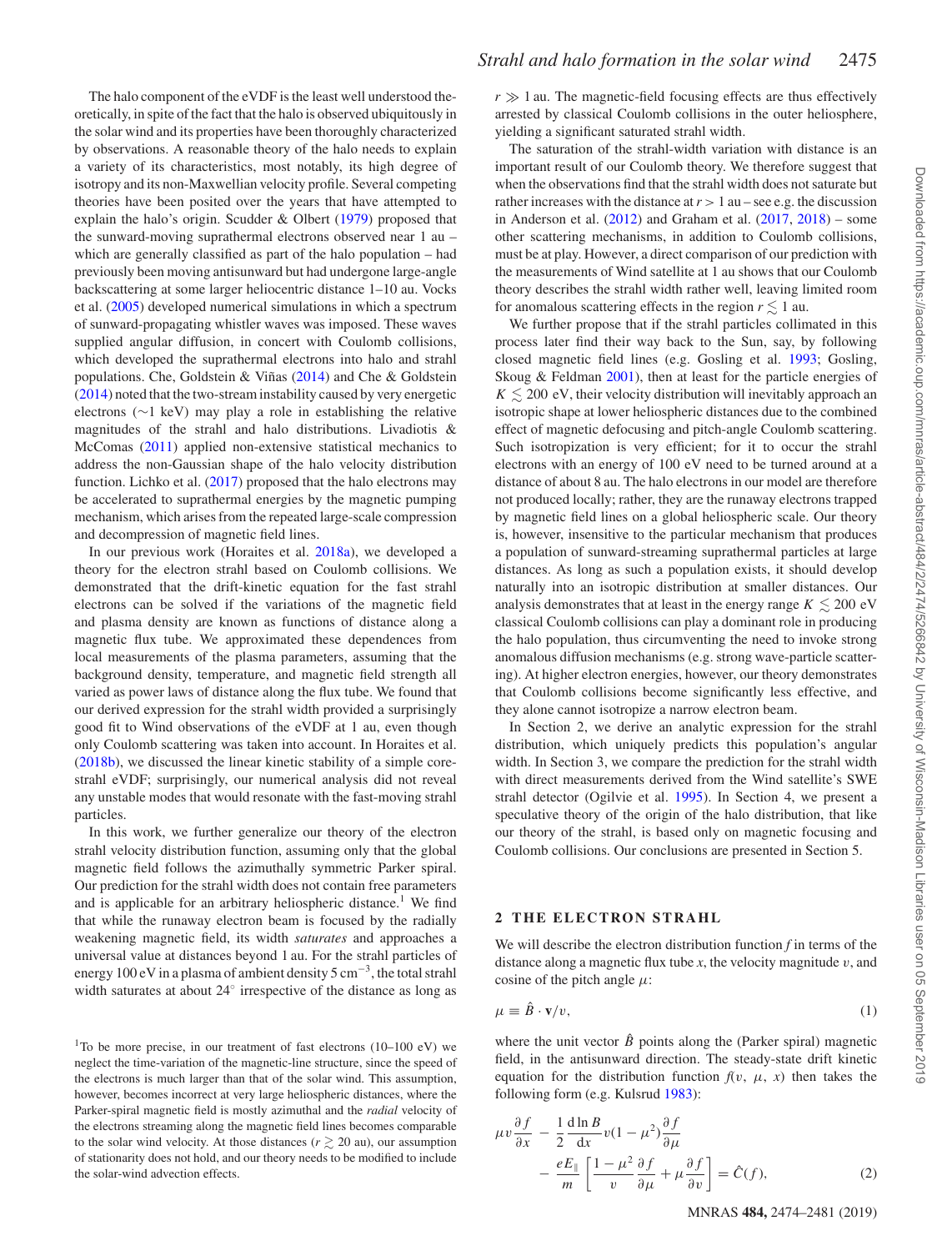The halo component of the eVDF is the least well understood theoretically, in spite of the fact that the halo is observed ubiquitously in the solar wind and its properties have been thoroughly characterized by observations. A reasonable theory of the halo needs to explain a variety of its characteristics, most notably, its high degree of isotropy and its non-Maxwellian velocity profile. Several competing theories have been posited over the years that have attempted to explain the halo's origin. Scudder & Olbert [\(1979\)](#page-7-1) proposed that the sunward-moving suprathermal electrons observed near 1 au – which are generally classified as part of the halo population – had previously been moving antisunward but had undergone large-angle backscattering at some larger heliocentric distance 1–10 au. Vocks et al. [\(2005\)](#page-7-3) developed numerical simulations in which a spectrum of sunward-propagating whistler waves was imposed. These waves supplied angular diffusion, in concert with Coulomb collisions, which developed the suprathermal electrons into halo and strahl populations. Che, Goldstein & Viñas  $(2014)$  $(2014)$  and Che & Goldstein [\(2014\)](#page-6-8) noted that the two-stream instability caused by very energetic electrons (∼1 keV) may play a role in establishing the relative magnitudes of the strahl and halo distributions. Livadiotis & McComas [\(2011\)](#page-7-12) applied non-extensive statistical mechanics to address the non-Gaussian shape of the halo velocity distribution function. Lichko et al. [\(2017\)](#page-7-13) proposed that the halo electrons may be accelerated to suprathermal energies by the magnetic pumping mechanism, which arises from the repeated large-scale compression and decompression of magnetic field lines.

In our previous work (Horaites et al. [2018a\)](#page-6-6), we developed a theory for the electron strahl based on Coulomb collisions. We demonstrated that the drift-kinetic equation for the fast strahl electrons can be solved if the variations of the magnetic field and plasma density are known as functions of distance along a magnetic flux tube. We approximated these dependences from local measurements of the plasma parameters, assuming that the background density, temperature, and magnetic field strength all varied as power laws of distance along the flux tube. We found that our derived expression for the strahl width provided a surprisingly good fit to Wind observations of the eVDF at 1 au, even though only Coulomb scattering was taken into account. In Horaites et al. [\(2018b\)](#page-6-9), we discussed the linear kinetic stability of a simple corestrahl eVDF; surprisingly, our numerical analysis did not reveal any unstable modes that would resonate with the fast-moving strahl particles.

In this work, we further generalize our theory of the electron strahl velocity distribution function, assuming only that the global magnetic field follows the azimuthally symmetric Parker spiral. Our prediction for the strahl width does not contain free parameters and is applicable for an arbitrary heliospheric distance.<sup>1</sup> We find that while the runaway electron beam is focused by the radially weakening magnetic field, its width *saturates* and approaches a universal value at distances beyond 1 au. For the strahl particles of energy 100 eV in a plasma of ambient density 5 cm<sup>−</sup>3, the total strahl width saturates at about 24◦ irrespective of the distance as long as

<sup>1</sup>To be more precise, in our treatment of fast electrons  $(10-100 \text{ eV})$  we neglect the time-variation of the magnetic-line structure, since the speed of the electrons is much larger than that of the solar wind. This assumption, however, becomes incorrect at very large heliospheric distances, where the Parker-spiral magnetic field is mostly azimuthal and the *radial* velocity of the electrons streaming along the magnetic field lines becomes comparable to the solar wind velocity. At those distances  $(r \ge 20 \text{ au})$ , our assumption of stationarity does not hold, and our theory needs to be modified to include the solar-wind advection effects.

 $r \gg 1$  au. The magnetic-field focusing effects are thus effectively arrested by classical Coulomb collisions in the outer heliosphere, yielding a significant saturated strahl width.

The saturation of the strahl-width variation with distance is an important result of our Coulomb theory. We therefore suggest that when the observations find that the strahl width does not saturate but rather increases with the distance at  $r > 1$  au – see e.g. the discussion in Anderson et al.  $(2012)$  and Graham et al.  $(2017, 2018)$  $(2017, 2018)$  $(2017, 2018)$  – some other scattering mechanisms, in addition to Coulomb collisions, must be at play. However, a direct comparison of our prediction with the measurements of Wind satellite at 1 au shows that our Coulomb theory describes the strahl width rather well, leaving limited room for anomalous scattering effects in the region  $r \lesssim 1$  au.

We further propose that if the strahl particles collimated in this process later find their way back to the Sun, say, by following closed magnetic field lines (e.g. Gosling et al. [1993;](#page-6-12) Gosling, Skoug & Feldman [2001\)](#page-6-13), then at least for the particle energies of  $K \lesssim 200$  eV, their velocity distribution will inevitably approach an isotropic shape at lower heliospheric distances due to the combined effect of magnetic defocusing and pitch-angle Coulomb scattering. Such isotropization is very efficient; for it to occur the strahl electrons with an energy of 100 eV need to be turned around at a distance of about 8 au. The halo electrons in our model are therefore not produced locally; rather, they are the runaway electrons trapped by magnetic field lines on a global heliospheric scale. Our theory is, however, insensitive to the particular mechanism that produces a population of sunward-streaming suprathermal particles at large distances. As long as such a population exists, it should develop naturally into an isotropic distribution at smaller distances. Our analysis demonstrates that at least in the energy range  $K \lesssim 200 \text{ eV}$ classical Coulomb collisions can play a dominant role in producing the halo population, thus circumventing the need to invoke strong anomalous diffusion mechanisms (e.g. strong wave-particle scattering). At higher electron energies, however, our theory demonstrates that Coulomb collisions become significantly less effective, and they alone cannot isotropize a narrow electron beam.

In Section 2, we derive an analytic expression for the strahl distribution, which uniquely predicts this population's angular width. In Section 3, we compare the prediction for the strahl width with direct measurements derived from the Wind satellite's SWE strahl detector (Ogilvie et al. [1995\)](#page-7-14). In Section 4, we present a speculative theory of the origin of the halo distribution, that like our theory of the strahl, is based only on magnetic focusing and Coulomb collisions. Our conclusions are presented in Section 5.

## **2 THE ELECTRON STRAHL**

We will describe the electron distribution function *f* in terms of the distance along a magnetic flux tube *x*, the velocity magnitude *v*, and cosine of the pitch angle  $\mu$ :

$$
\mu \equiv \hat{B} \cdot \mathbf{v}/v,\tag{1}
$$

where the unit vector  $\hat{B}$  points along the (Parker spiral) magnetic field, in the antisunward direction. The steady-state drift kinetic equation for the distribution function  $f(v, \mu, x)$  then takes the following form (e.g. Kulsrud [1983\)](#page-7-15):

$$
\mu v \frac{\partial f}{\partial x} - \frac{1}{2} \frac{d \ln B}{dx} v (1 - \mu^2) \frac{\partial f}{\partial \mu}
$$
  
 
$$
- \frac{e E_{\parallel}}{m} \left[ \frac{1 - \mu^2}{v} \frac{\partial f}{\partial \mu} + \mu \frac{\partial f}{\partial v} \right] = \hat{C}(f), \tag{2}
$$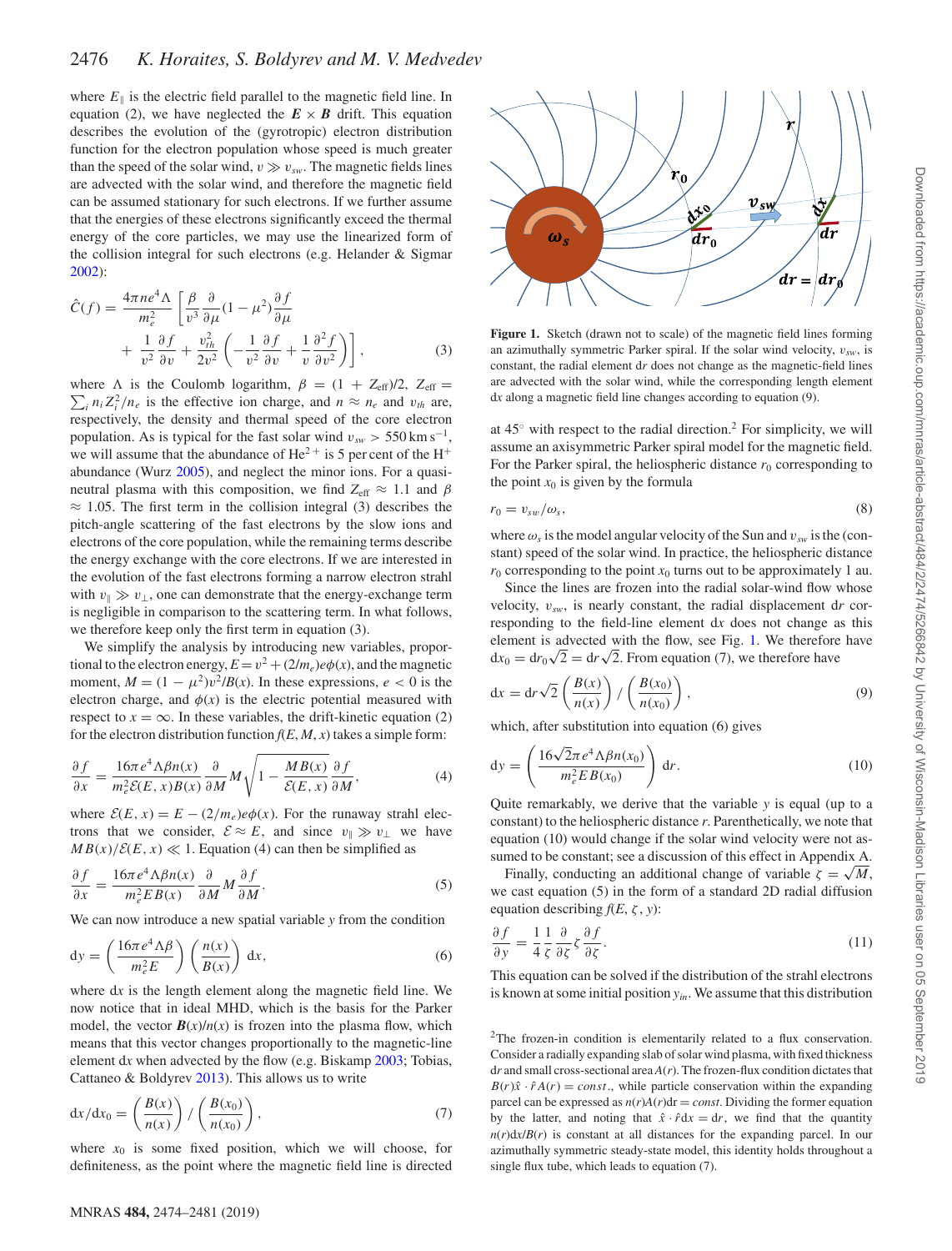where  $E_{\parallel}$  is the electric field parallel to the magnetic field line. In equation (2), we have neglected the  $E \times B$  drift. This equation describes the evolution of the (gyrotropic) electron distribution function for the electron population whose speed is much greater than the speed of the solar wind,  $v \gg v_{sw}$ . The magnetic fields lines are advected with the solar wind, and therefore the magnetic field can be assumed stationary for such electrons. If we further assume that the energies of these electrons significantly exceed the thermal energy of the core particles, we may use the linearized form of the collision integral for such electrons (e.g. Helander & Sigmar [2002\)](#page-6-14):

$$
\hat{C}(f) = \frac{4\pi n e^4 \Lambda}{m_e^2} \left[ \frac{\beta}{v^3} \frac{\partial}{\partial \mu} (1 - \mu^2) \frac{\partial f}{\partial \mu} + \frac{1}{v^2} \frac{\partial f}{\partial v} + \frac{v_{th}^2}{2v^2} \left( -\frac{1}{v^2} \frac{\partial f}{\partial v} + \frac{1}{v} \frac{\partial^2 f}{\partial v^2} \right) \right],
$$
\n(3)

 $\sum_i n_i Z_i^2 / n_e$  is the effective ion charge, and  $n \approx n_e$  and  $v_{th}$  are, where  $\Lambda$  is the Coulomb logarithm,  $\beta = (1 + Z_{\text{eff}})/2$ ,  $Z_{\text{eff}} =$ respectively, the density and thermal speed of the core electron population. As is typical for the fast solar wind  $v_{sw}$  > 550 km s<sup>-1</sup>, we will assume that the abundance of  $He^{2+}$  is 5 per cent of the  $H^{+}$ abundance (Wurz [2005\)](#page-7-16), and neglect the minor ions. For a quasineutral plasma with this composition, we find  $Z_{\text{eff}} \approx 1.1$  and  $\beta$  $\approx$  1.05. The first term in the collision integral (3) describes the pitch-angle scattering of the fast electrons by the slow ions and electrons of the core population, while the remaining terms describe the energy exchange with the core electrons. If we are interested in the evolution of the fast electrons forming a narrow electron strahl with  $v_{\perp} \gg v_{\perp}$ , one can demonstrate that the energy-exchange term is negligible in comparison to the scattering term. In what follows, we therefore keep only the first term in equation (3).

We simplify the analysis by introducing new variables, proportional to the electron energy,  $E = v^2 + (2/m_e)e\phi(x)$ , and the magnetic moment,  $M = (1 - \mu^2)v^2/B(x)$ . In these expressions,  $e < 0$  is the electron charge, and  $\phi(x)$  is the electric potential measured with respect to  $x = \infty$ . In these variables, the drift-kinetic equation (2) for the electron distribution function  $f(E, M, x)$  takes a simple form:

$$
\frac{\partial f}{\partial x} = \frac{16\pi e^4 \Lambda \beta n(x)}{m_e^2 \mathcal{E}(E, x) B(x)} \frac{\partial}{\partial M} M \sqrt{1 - \frac{MB(x)}{\mathcal{E}(E, x)} \frac{\partial f}{\partial M}},\tag{4}
$$

where  $\mathcal{E}(E, x) = E - (2/m_e)e\phi(x)$ . For the runaway strahl electrons that we consider,  $\mathcal{E} \approx E$ , and since  $v_{\parallel} \gg v_{\perp}$  we have  $MB(x)/\mathcal{E}(E, x) \ll 1$ . Equation (4) can then be simplified as

$$
\frac{\partial f}{\partial x} = \frac{16\pi e^4 \Lambda \beta n(x)}{m_e^2 E B(x)} \frac{\partial}{\partial M} M \frac{\partial f}{\partial M}.
$$
 (5)

We can now introduce a new spatial variable *y* from the condition

$$
dy = \left(\frac{16\pi e^4 \Lambda \beta}{m_e^2 E}\right) \left(\frac{n(x)}{B(x)}\right) dx, \tag{6}
$$

where d*x* is the length element along the magnetic field line. We now notice that in ideal MHD, which is the basis for the Parker model, the vector  $B(x)/n(x)$  is frozen into the plasma flow, which means that this vector changes proportionally to the magnetic-line element d*x* when advected by the flow (e.g. Biskamp [2003;](#page-6-15) Tobias, Cattaneo & Boldyrev [2013\)](#page-7-17). This allows us to write

$$
dx/dx_0 = \left(\frac{B(x)}{n(x)}\right) / \left(\frac{B(x_0)}{n(x_0)}\right),\tag{7}
$$

where  $x_0$  is some fixed position, which we will choose, for definiteness, as the point where the magnetic field line is directed

<span id="page-2-0"></span>

**Figure 1.** Sketch (drawn not to scale) of the magnetic field lines forming an azimuthally symmetric Parker spiral. If the solar wind velocity,  $v_{sw}$ , is constant, the radial element d*r* does not change as the magnetic-field lines are advected with the solar wind, while the corresponding length element d*x* along a magnetic field line changes according to equation (9).

at  $45^\circ$  with respect to the radial direction.<sup>2</sup> For simplicity, we will assume an axisymmetric Parker spiral model for the magnetic field. For the Parker spiral, the heliospheric distance  $r_0$  corresponding to the point  $x_0$  is given by the formula

$$
r_0 = v_{sw}/\omega_s,\tag{8}
$$

where  $\omega_s$  is the model angular velocity of the Sun and  $v_{sw}$  is the (constant) speed of the solar wind. In practice, the heliospheric distance  $r_0$  corresponding to the point  $x_0$  turns out to be approximately 1 au.

Since the lines are frozen into the radial solar-wind flow whose velocity, *vsw*, is nearly constant, the radial displacement d*r* corresponding to the field-line element d*x* does not change as this element is advected with the flow, see Fig. [1.](#page-2-0) We therefore have element is advected with the how, see Fig. 1. we therefore  $dx_0 = dr_0 \sqrt{2} = dr \sqrt{2}$ . From equation (7), we therefore have

$$
dx = dr\sqrt{2}\left(\frac{B(x)}{n(x)}\right) / \left(\frac{B(x_0)}{n(x_0)}\right),
$$
\n(9)

which, after substitution into equation (6) gives

$$
dy = \left(\frac{16\sqrt{2}\pi e^4 \Lambda \beta n(x_0)}{m_e^2 EB(x_0)}\right) dr.
$$
 (10)

Quite remarkably, we derive that the variable *y* is equal (up to a constant) to the heliospheric distance *r*. Parenthetically, we note that equation (10) would change if the solar wind velocity were not assumed to be constant; see a discussion of this effect in Appendix A.

Finally, conducting an additional change of variable  $\zeta = \sqrt{M}$ , we cast equation (5) in the form of a standard 2D radial diffusion equation describing  $f(E, \zeta, y)$ :

$$
\frac{\partial f}{\partial y} = \frac{1}{4} \frac{1}{\zeta} \frac{\partial}{\partial \zeta} \zeta \frac{\partial f}{\partial \zeta}.
$$
\n(11)

This equation can be solved if the distribution of the strahl electrons is known at some initial position *yin*. We assume that this distribution

<sup>2</sup>The frozen-in condition is elementarily related to a flux conservation. Consider a radially expanding slab of solar wind plasma, with fixed thickness d*r* and small cross-sectional area *A*(*r*). The frozen-flux condition dictates that  $B(r)\hat{x} \cdot \hat{r}A(r) = const.$ , while particle conservation within the expanding parcel can be expressed as  $n(r)A(r)dr = const.$  Dividing the former equation by the latter, and noting that  $\hat{x} \cdot \hat{r} dx = dr$ , we find that the quantity  $n(r)dx/B(r)$  is constant at all distances for the expanding parcel. In our azimuthally symmetric steady-state model, this identity holds throughout a single flux tube, which leads to equation (7).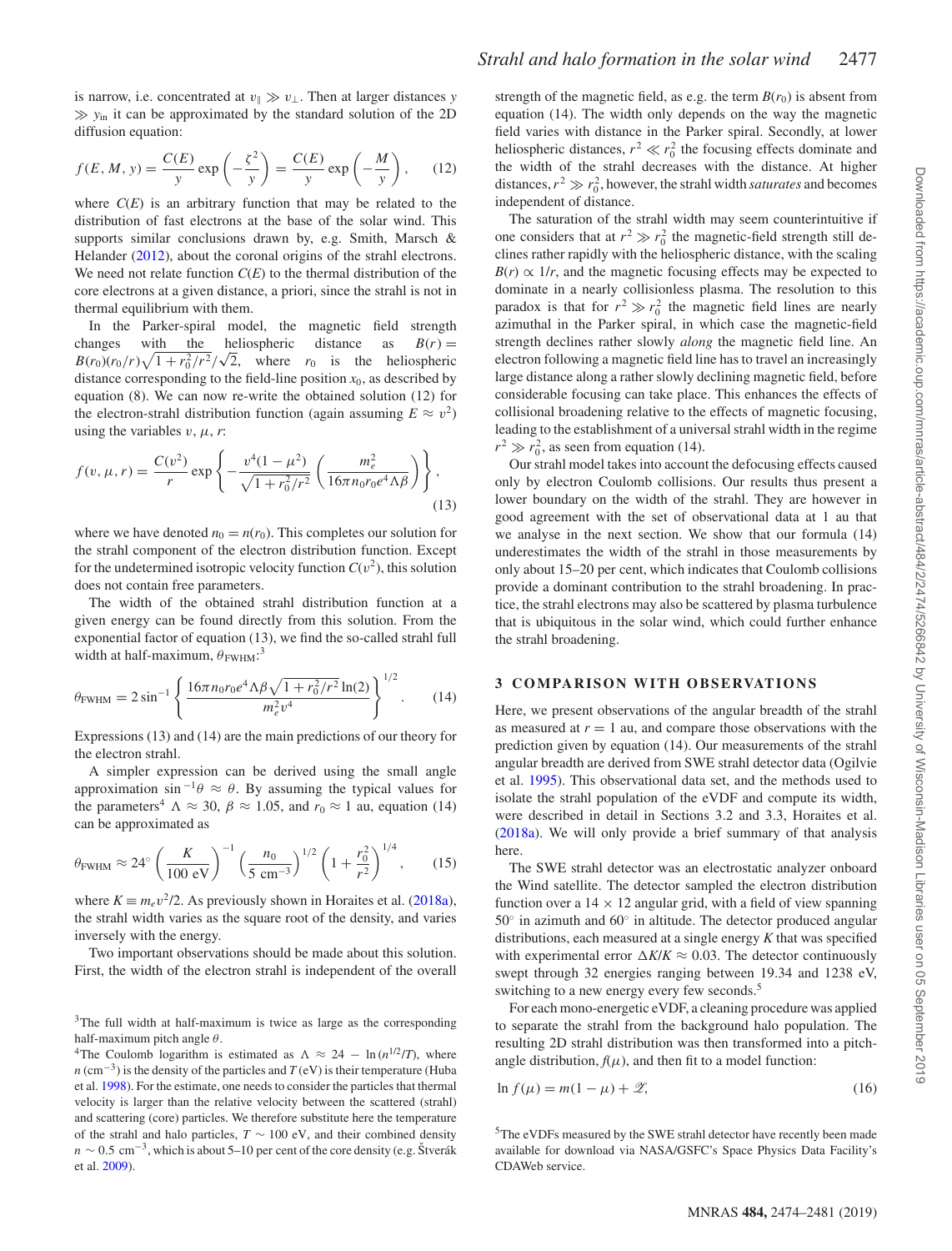is narrow, i.e. concentrated at  $v_{\parallel} \gg v_{\perp}$ . Then at larger distances *y*  $\gg y_{in}$  it can be approximated by the standard solution of the 2D diffusion equation:

$$
f(E, M, y) = \frac{C(E)}{y} \exp\left(-\frac{\zeta^2}{y}\right) = \frac{C(E)}{y} \exp\left(-\frac{M}{y}\right), \quad (12)
$$

where  $C(E)$  is an arbitrary function that may be related to the distribution of fast electrons at the base of the solar wind. This supports similar conclusions drawn by, e.g. Smith, Marsch & Helander [\(2012\)](#page-7-18), about the coronal origins of the strahl electrons. We need not relate function *C*(*E*) to the thermal distribution of the core electrons at a given distance, a priori, since the strahl is not in thermal equilibrium with them.

In the Parker-spiral model, the magnetic field strength changes with the heliospheric distance as  $B(r) =$ changes with the netrospheric distance as  $B(r) = B(r_0)(r_0/r)\sqrt{1 + r_0^2/r^2}/\sqrt{2}$ , where  $r_0$  is the heliospheric distance corresponding to the field-line position  $x_0$ , as described by equation (8). We can now re-write the obtained solution (12) for the electron-strahl distribution function (again assuming  $E \approx v^2$ ) using the variables  $v, \mu, r$ :

$$
f(v, \mu, r) = \frac{C(v^2)}{r} \exp\left\{-\frac{v^4(1-\mu^2)}{\sqrt{1+r_0^2/r^2}} \left(\frac{m_e^2}{16\pi n_0 r_0 e^4 \Lambda \beta}\right)\right\},\tag{13}
$$

where we have denoted  $n_0 = n(r_0)$ . This completes our solution for the strahl component of the electron distribution function. Except for the undetermined isotropic velocity function  $C(v^2)$ , this solution does not contain free parameters.

The width of the obtained strahl distribution function at a given energy can be found directly from this solution. From the exponential factor of equation (13), we find the so-called strahl full width at half-maximum,  $\theta_{FWHM}$ :<sup>3</sup>

$$
\theta_{\text{FWHM}} = 2 \sin^{-1} \left\{ \frac{16 \pi n_0 r_0 e^4 \Lambda \beta \sqrt{1 + r_0^2 / r^2} \ln(2)}{m_e^2 v^4} \right\}^{1/2}.
$$
 (14)

Expressions (13) and (14) are the main predictions of our theory for the electron strahl.

A simpler expression can be derived using the small angle approximation sin<sup>-1</sup> $\theta \approx \theta$ . By assuming the typical values for the parameters<sup>4</sup>  $\Lambda \approx 30$ ,  $\beta \approx 1.05$ , and  $r_0 \approx 1$  au, equation (14) can be approximated as

$$
\theta_{\text{FWHM}} \approx 24^{\circ} \left( \frac{K}{100 \text{ eV}} \right)^{-1} \left( \frac{n_0}{5 \text{ cm}^{-3}} \right)^{1/2} \left( 1 + \frac{r_0^2}{r^2} \right)^{1/4}, \quad (15)
$$

where  $K \equiv m_e v^2/2$ . As previously shown in Horaites et al. [\(2018a\)](#page-6-6), the strahl width varies as the square root of the density, and varies inversely with the energy.

Two important observations should be made about this solution. First, the width of the electron strahl is independent of the overall

<sup>3</sup>The full width at half-maximum is twice as large as the corresponding half-maximum pitch angle *θ*.

<sup>4</sup>The Coulomb logarithm is estimated as  $\Lambda \approx 24 - \ln(n^{1/2}/T)$ , where  $n \, (\text{cm}^{-3})$  is the density of the particles and  $T \, (\text{eV})$  is their temperature (Huba et al. [1998\)](#page-6-16). For the estimate, one needs to consider the particles that thermal velocity is larger than the relative velocity between the scattered (strahl) and scattering (core) particles. We therefore substitute here the temperature of the strahl and halo particles,  $T \sim 100$  eV, and their combined density  $n \sim 0.5$  cm<sup>-3</sup>, which is about 5–10 per cent of the core density (e.g. Štverák et al. [2009\)](#page-7-19).

strength of the magnetic field, as e.g. the term  $B(r_0)$  is absent from equation (14). The width only depends on the way the magnetic field varies with distance in the Parker spiral. Secondly, at lower heliospheric distances,  $r^2 \ll r_0^2$  the focusing effects dominate and the width of the strahl decreases with the distance. At higher distances,  $r^2 \gg r_0^2$ , however, the strahl width *saturates* and becomes independent of distance.

The saturation of the strahl width may seem counterintuitive if one considers that at  $r^2 \gg r_0^2$  the magnetic-field strength still declines rather rapidly with the heliospheric distance, with the scaling  $B(r) \propto 1/r$ , and the magnetic focusing effects may be expected to dominate in a nearly collisionless plasma. The resolution to this paradox is that for  $r^2 \gg r_0^2$  the magnetic field lines are nearly azimuthal in the Parker spiral, in which case the magnetic-field strength declines rather slowly *along* the magnetic field line. An electron following a magnetic field line has to travel an increasingly large distance along a rather slowly declining magnetic field, before considerable focusing can take place. This enhances the effects of collisional broadening relative to the effects of magnetic focusing, leading to the establishment of a universal strahl width in the regime  $r^2 \gg r_0^2$ , as seen from equation (14).

Our strahl model takes into account the defocusing effects caused only by electron Coulomb collisions. Our results thus present a lower boundary on the width of the strahl. They are however in good agreement with the set of observational data at 1 au that we analyse in the next section. We show that our formula (14) underestimates the width of the strahl in those measurements by only about 15–20 per cent, which indicates that Coulomb collisions provide a dominant contribution to the strahl broadening. In practice, the strahl electrons may also be scattered by plasma turbulence that is ubiquitous in the solar wind, which could further enhance the strahl broadening.

## **3 COMPARISON WITH OBSERVATIONS**

Here, we present observations of the angular breadth of the strahl as measured at  $r = 1$  au, and compare those observations with the prediction given by equation (14). Our measurements of the strahl angular breadth are derived from SWE strahl detector data (Ogilvie et al. [1995\)](#page-7-14). This observational data set, and the methods used to isolate the strahl population of the eVDF and compute its width, were described in detail in Sections 3.2 and 3.3, Horaites et al. [\(2018a\)](#page-6-6). We will only provide a brief summary of that analysis here.

The SWE strahl detector was an electrostatic analyzer onboard the Wind satellite. The detector sampled the electron distribution function over a  $14 \times 12$  angular grid, with a field of view spanning 50◦ in azimuth and 60◦ in altitude. The detector produced angular distributions, each measured at a single energy *K* that was specified with experimental error  $\Delta K/K \approx 0.03$ . The detector continuously swept through 32 energies ranging between 19.34 and 1238 eV, switching to a new energy every few seconds.<sup>5</sup>

For each mono-energetic eVDF, a cleaning procedure was applied to separate the strahl from the background halo population. The resulting 2D strahl distribution was then transformed into a pitchangle distribution,  $f(\mu)$ , and then fit to a model function:

$$
\ln f(\mu) = m(1 - \mu) + \mathcal{Z},\tag{16}
$$

5The eVDFs measured by the SWE strahl detector have recently been made available for download via NASA/GSFC's Space Physics Data Facility's CDAWeb service.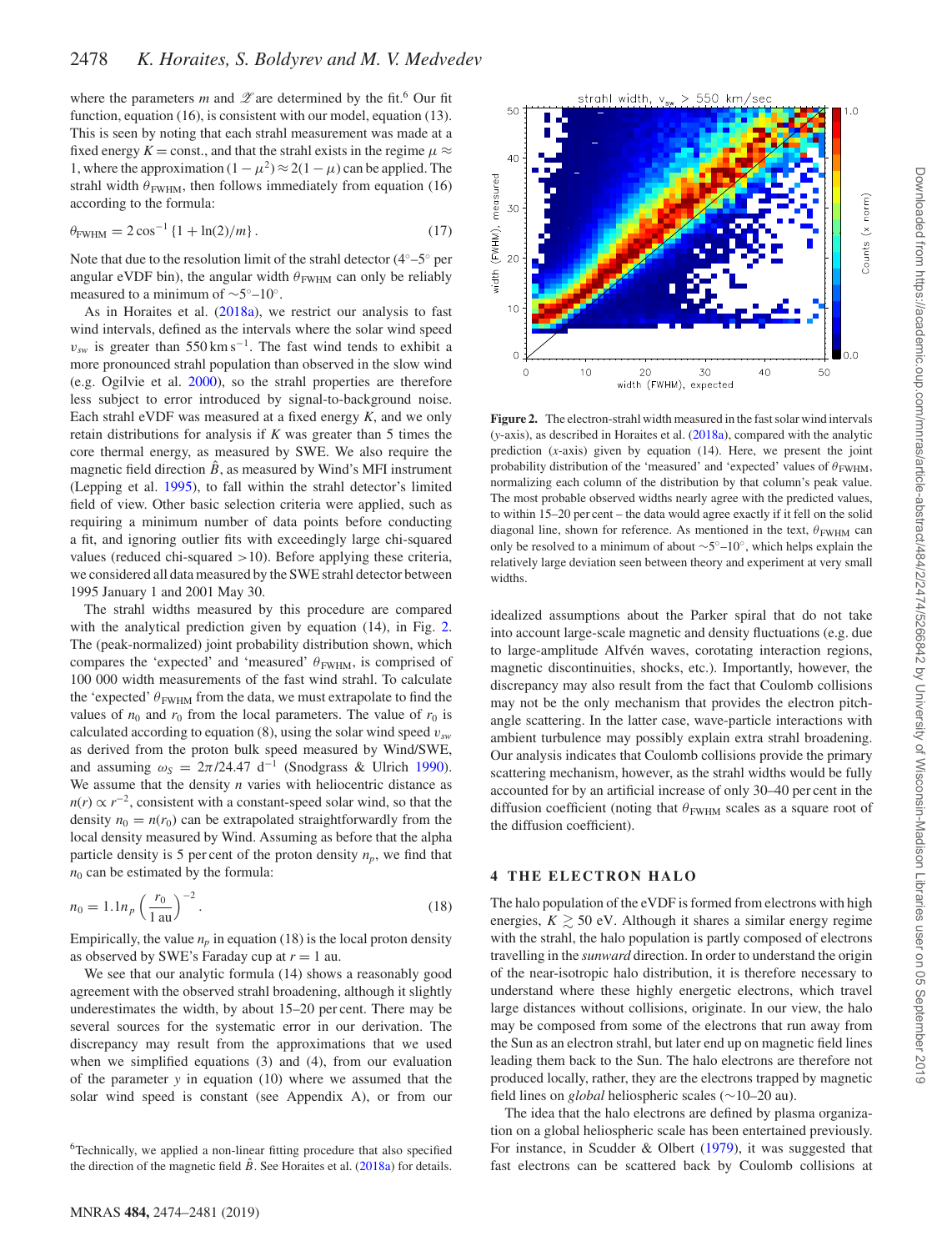where the parameters *m* and  $\mathscr Z$  are determined by the fit.<sup>6</sup> Our fit function, equation (16), is consistent with our model, equation (13). This is seen by noting that each strahl measurement was made at a fixed energy  $K =$  const., and that the strahl exists in the regime  $\mu \approx$ 1, where the approximation  $(1 - \mu^2) \approx 2(1 - \mu)$  can be applied. The strahl width  $\theta_{FWHM}$ , then follows immediately from equation (16) according to the formula:

$$
\theta_{\text{FWHM}} = 2\cos^{-1}\left\{1 + \ln(2)/m\right\}.\tag{17}
$$

Note that due to the resolution limit of the strahl detector  $(4°-5°$  per angular eVDF bin), the angular width  $\theta_{\rm FWHM}$  can only be reliably measured to a minimum of ∼5◦–10◦.

As in Horaites et al. [\(2018a\)](#page-6-6), we restrict our analysis to fast wind intervals, defined as the intervals where the solar wind speed  $v_{sw}$  is greater than 550 km s<sup>-1</sup>. The fast wind tends to exhibit a more pronounced strahl population than observed in the slow wind (e.g. Ogilvie et al. [2000\)](#page-7-10), so the strahl properties are therefore less subject to error introduced by signal-to-background noise. Each strahl eVDF was measured at a fixed energy *K*, and we only retain distributions for analysis if *K* was greater than 5 times the core thermal energy, as measured by SWE. We also require the magnetic field direction  $\hat{B}$ , as measured by Wind's MFI instrument (Lepping et al. [1995\)](#page-7-20), to fall within the strahl detector's limited field of view. Other basic selection criteria were applied, such as requiring a minimum number of data points before conducting a fit, and ignoring outlier fits with exceedingly large chi-squared values (reduced chi-squared *>*10). Before applying these criteria, we considered all data measured by the SWE strahl detector between 1995 January 1 and 2001 May 30.

The strahl widths measured by this procedure are compared with the analytical prediction given by equation (14), in Fig. [2.](#page-4-0) The (peak-normalized) joint probability distribution shown, which compares the 'expected' and 'measured'  $\theta_{FWHM}$ , is comprised of 100 000 width measurements of the fast wind strahl. To calculate the 'expected'  $\theta_{\text{FWHM}}$  from the data, we must extrapolate to find the values of  $n_0$  and  $r_0$  from the local parameters. The value of  $r_0$  is calculated according to equation (8), using the solar wind speed *vsw* as derived from the proton bulk speed measured by Wind/SWE, and assuming  $\omega_s = 2\pi/24.47 \text{ d}^{-1}$  (Snodgrass & Ulrich [1990\)](#page-7-21). We assume that the density *n* varies with heliocentric distance as  $n(r) \propto r^{-2}$ , consistent with a constant-speed solar wind, so that the density  $n_0 = n(r_0)$  can be extrapolated straightforwardly from the local density measured by Wind. Assuming as before that the alpha particle density is 5 per cent of the proton density  $n_p$ , we find that  $n_0$  can be estimated by the formula:

$$
n_0 = 1.1 n_p \left(\frac{r_0}{1 \text{ au}}\right)^{-2}.
$$
 (18)

Empirically, the value  $n_p$  in equation (18) is the local proton density as observed by SWE's Faraday cup at  $r = 1$  au.

We see that our analytic formula (14) shows a reasonably good agreement with the observed strahl broadening, although it slightly underestimates the width, by about 15–20 per cent. There may be several sources for the systematic error in our derivation. The discrepancy may result from the approximations that we used when we simplified equations (3) and (4), from our evaluation of the parameter *y* in equation (10) where we assumed that the solar wind speed is constant (see Appendix A), or from our

<sup>6</sup>Technically, we applied a non-linear fitting procedure that also specified the direction of the magnetic field  $\hat{B}$ . See Horaites et al. [\(2018a\)](#page-6-6) for details.

<span id="page-4-0"></span>

**Figure 2.** The electron-strahl width measured in the fast solar wind intervals (*y*-axis), as described in Horaites et al. [\(2018a\)](#page-6-6), compared with the analytic prediction (*x*-axis) given by equation (14). Here, we present the joint probability distribution of the 'measured' and 'expected' values of  $\theta_{\text{FWHM}}$ , normalizing each column of the distribution by that column's peak value. The most probable observed widths nearly agree with the predicted values, to within 15–20 per cent – the data would agree exactly if it fell on the solid diagonal line, shown for reference. As mentioned in the text,  $\theta_{\text{FWHM}}$  can only be resolved to a minimum of about ∼5◦–10◦, which helps explain the relatively large deviation seen between theory and experiment at very small widths.

idealized assumptions about the Parker spiral that do not take into account large-scale magnetic and density fluctuations (e.g. due to large-amplitude Alfvén waves, corotating interaction regions, magnetic discontinuities, shocks, etc.). Importantly, however, the discrepancy may also result from the fact that Coulomb collisions may not be the only mechanism that provides the electron pitchangle scattering. In the latter case, wave-particle interactions with ambient turbulence may possibly explain extra strahl broadening. Our analysis indicates that Coulomb collisions provide the primary scattering mechanism, however, as the strahl widths would be fully accounted for by an artificial increase of only 30–40 per cent in the diffusion coefficient (noting that  $\theta_{\text{FWHM}}$  scales as a square root of the diffusion coefficient).

## **4 THE ELECTRON HALO**

The halo population of the eVDF is formed from electrons with high energies,  $K \geq 50$  eV. Although it shares a similar energy regime with the strahl, the halo population is partly composed of electrons travelling in the *sunward* direction. In order to understand the origin of the near-isotropic halo distribution, it is therefore necessary to understand where these highly energetic electrons, which travel large distances without collisions, originate. In our view, the halo may be composed from some of the electrons that run away from the Sun as an electron strahl, but later end up on magnetic field lines leading them back to the Sun. The halo electrons are therefore not produced locally, rather, they are the electrons trapped by magnetic field lines on *global* heliospheric scales (∼10–20 au).

The idea that the halo electrons are defined by plasma organization on a global heliospheric scale has been entertained previously. For instance, in Scudder & Olbert [\(1979\)](#page-7-1), it was suggested that fast electrons can be scattered back by Coulomb collisions at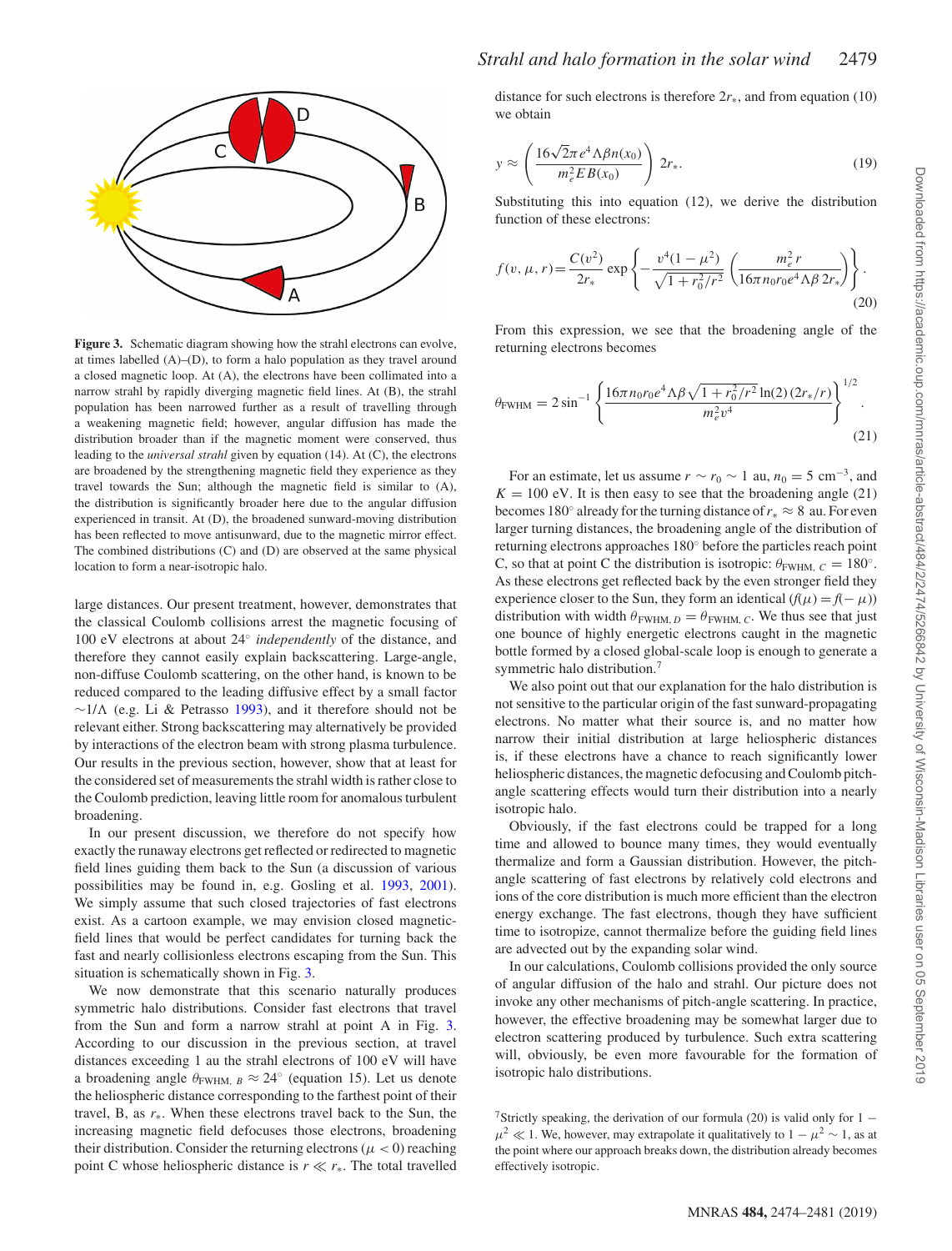<span id="page-5-0"></span>

**Figure 3.** Schematic diagram showing how the strahl electrons can evolve, at times labelled (A)–(D), to form a halo population as they travel around a closed magnetic loop. At (A), the electrons have been collimated into a narrow strahl by rapidly diverging magnetic field lines. At (B), the strahl population has been narrowed further as a result of travelling through a weakening magnetic field; however, angular diffusion has made the distribution broader than if the magnetic moment were conserved, thus leading to the *universal strahl* given by equation (14). At (C), the electrons are broadened by the strengthening magnetic field they experience as they travel towards the Sun; although the magnetic field is similar to (A), the distribution is significantly broader here due to the angular diffusion experienced in transit. At (D), the broadened sunward-moving distribution has been reflected to move antisunward, due to the magnetic mirror effect. The combined distributions (C) and (D) are observed at the same physical location to form a near-isotropic halo.

large distances. Our present treatment, however, demonstrates that the classical Coulomb collisions arrest the magnetic focusing of 100 eV electrons at about 24◦ *independently* of the distance, and therefore they cannot easily explain backscattering. Large-angle, non-diffuse Coulomb scattering, on the other hand, is known to be reduced compared to the leading diffusive effect by a small factor  $∼1/\Lambda$  (e.g. Li & Petrasso [1993\)](#page-7-22), and it therefore should not be relevant either. Strong backscattering may alternatively be provided by interactions of the electron beam with strong plasma turbulence. Our results in the previous section, however, show that at least for the considered set of measurements the strahl width is rather close to the Coulomb prediction, leaving little room for anomalous turbulent broadening.

In our present discussion, we therefore do not specify how exactly the runaway electrons get reflected or redirected to magnetic field lines guiding them back to the Sun (a discussion of various possibilities may be found in, e.g. Gosling et al. [1993,](#page-6-12) [2001\)](#page-6-13). We simply assume that such closed trajectories of fast electrons exist. As a cartoon example, we may envision closed magneticfield lines that would be perfect candidates for turning back the fast and nearly collisionless electrons escaping from the Sun. This situation is schematically shown in Fig. [3.](#page-5-0)

We now demonstrate that this scenario naturally produces symmetric halo distributions. Consider fast electrons that travel from the Sun and form a narrow strahl at point A in Fig. [3.](#page-5-0) According to our discussion in the previous section, at travel distances exceeding 1 au the strahl electrons of 100 eV will have a broadening angle  $\theta_{\text{FWHM}, B} \approx 24^{\circ}$  (equation 15). Let us denote the heliospheric distance corresponding to the farthest point of their travel, B, as *r*∗. When these electrons travel back to the Sun, the increasing magnetic field defocuses those electrons, broadening their distribution. Consider the returning electrons ( $\mu$  < 0) reaching point C whose heliospheric distance is  $r \ll r_*$ . The total travelled

# *Strahl and halo formation in the solar wind* 2479

distance for such electrons is therefore  $2r_*,$  and from equation (10) we obtain

$$
y \approx \left(\frac{16\sqrt{2\pi}e^4\Lambda\beta n(x_0)}{m_e^2EB(x_0)}\right)2r_*.
$$
 (19)

Substituting this into equation (12), we derive the distribution function of these electrons:

$$
f(v, \mu, r) = \frac{C(v^2)}{2r_*} \exp \left\{ -\frac{v^4(1-\mu^2)}{\sqrt{1+r_0^2/r^2}} \left( \frac{m_e^2 r}{16\pi n_0 r_0 e^4 \Lambda \beta 2r_*} \right) \right\}.
$$
\n(20)

From this expression, we see that the broadening angle of the returning electrons becomes

$$
\theta_{\text{FWHM}} = 2 \sin^{-1} \left\{ \frac{16 \pi n_0 r_0 e^4 \Lambda \beta \sqrt{1 + r_0^2 / r^2} \ln(2) (2r_*/r)}{m_e^2 v^4} \right\}^{1/2}.
$$
\n(2)

For an estimate, let us assume  $r \sim r_0 \sim 1$  au,  $n_0 = 5$  cm<sup>-3</sup>, and  $K = 100$  eV. It is then easy to see that the broadening angle  $(21)$ becomes 180◦ already for the turning distance of*r*<sup>∗</sup> ≈ 8 au. For even larger turning distances, the broadening angle of the distribution of returning electrons approaches 180◦ before the particles reach point C, so that at point C the distribution is isotropic:  $\theta_{FWHM, C} = 180^\circ$ . As these electrons get reflected back by the even stronger field they experience closer to the Sun, they form an identical  $(f(\mu) = f(-\mu))$ distribution with width  $\theta_{\text{FWHM}, D} = \theta_{\text{FWHM}, C}$ . We thus see that just one bounce of highly energetic electrons caught in the magnetic bottle formed by a closed global-scale loop is enough to generate a symmetric halo distribution.<sup>7</sup>

We also point out that our explanation for the halo distribution is not sensitive to the particular origin of the fast sunward-propagating electrons. No matter what their source is, and no matter how narrow their initial distribution at large heliospheric distances is, if these electrons have a chance to reach significantly lower heliospheric distances, the magnetic defocusing and Coulomb pitchangle scattering effects would turn their distribution into a nearly isotropic halo.

Obviously, if the fast electrons could be trapped for a long time and allowed to bounce many times, they would eventually thermalize and form a Gaussian distribution. However, the pitchangle scattering of fast electrons by relatively cold electrons and ions of the core distribution is much more efficient than the electron energy exchange. The fast electrons, though they have sufficient time to isotropize, cannot thermalize before the guiding field lines are advected out by the expanding solar wind.

In our calculations, Coulomb collisions provided the only source of angular diffusion of the halo and strahl. Our picture does not invoke any other mechanisms of pitch-angle scattering. In practice, however, the effective broadening may be somewhat larger due to electron scattering produced by turbulence. Such extra scattering will, obviously, be even more favourable for the formation of isotropic halo distributions.

 $\overline{1}$ 

<sup>&</sup>lt;sup>7</sup>Strictly speaking, the derivation of our formula (20) is valid only for 1 −  $\mu^2 \ll 1$ . We, however, may extrapolate it qualitatively to  $1 - \mu^2 \sim 1$ , as at the point where our approach breaks down, the distribution already becomes effectively isotropic.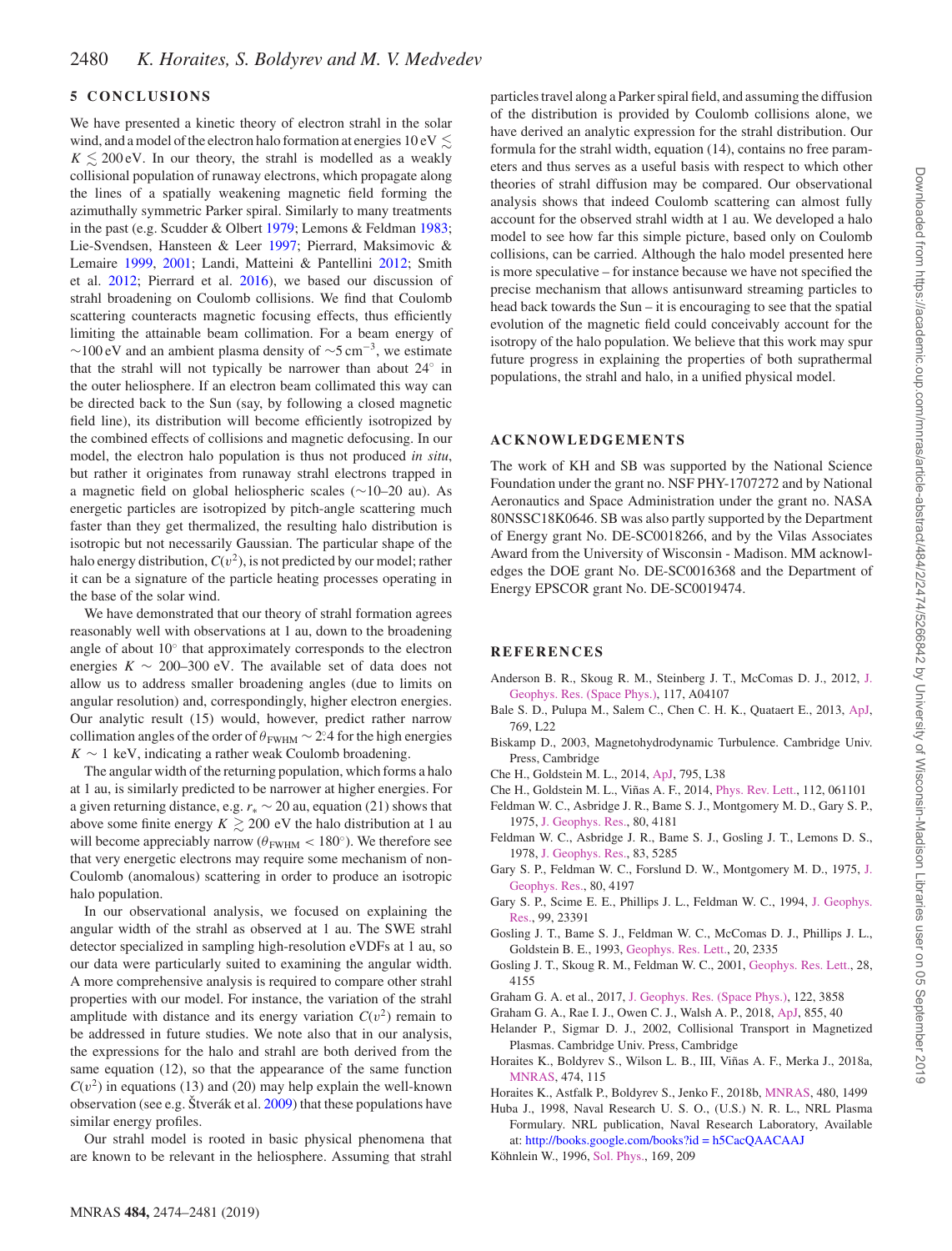# **5 CONCLUSIONS**

We have presented a kinetic theory of electron strahl in the solar wind, and a model of the electron halo formation at energies  $10\,{\rm eV} \lesssim$  $K \lesssim 200 \text{ eV}$ . In our theory, the strahl is modelled as a weakly collisional population of runaway electrons, which propagate along the lines of a spatially weakening magnetic field forming the azimuthally symmetric Parker spiral. Similarly to many treatments in the past (e.g. Scudder & Olbert [1979;](#page-7-1) Lemons & Feldman [1983;](#page-7-9) Lie-Svendsen, Hansteen & Leer [1997;](#page-7-23) Pierrard, Maksimovic & Lemaire [1999,](#page-7-24) [2001;](#page-7-25) Landi, Matteini & Pantellini [2012;](#page-7-26) Smith et al. [2012;](#page-7-18) Pierrard et al. [2016\)](#page-7-27), we based our discussion of strahl broadening on Coulomb collisions. We find that Coulomb scattering counteracts magnetic focusing effects, thus efficiently limiting the attainable beam collimation. For a beam energy of  $∼100$  eV and an ambient plasma density of  $\sim$ 5 cm<sup>-3</sup>, we estimate that the strahl will not typically be narrower than about 24◦ in the outer heliosphere. If an electron beam collimated this way can be directed back to the Sun (say, by following a closed magnetic field line), its distribution will become efficiently isotropized by the combined effects of collisions and magnetic defocusing. In our model, the electron halo population is thus not produced *in situ*, but rather it originates from runaway strahl electrons trapped in a magnetic field on global heliospheric scales (∼10–20 au). As energetic particles are isotropized by pitch-angle scattering much faster than they get thermalized, the resulting halo distribution is isotropic but not necessarily Gaussian. The particular shape of the halo energy distribution,  $C(v^2)$ , is not predicted by our model; rather it can be a signature of the particle heating processes operating in the base of the solar wind.

We have demonstrated that our theory of strahl formation agrees reasonably well with observations at 1 au, down to the broadening angle of about 10◦ that approximately corresponds to the electron energies  $K \sim 200-300$  eV. The available set of data does not allow us to address smaller broadening angles (due to limits on angular resolution) and, correspondingly, higher electron energies. Our analytic result (15) would, however, predict rather narrow collimation angles of the order of  $\theta_{\text{FWHM}} \sim 2.24$  for the high energies  $K \sim 1$  keV, indicating a rather weak Coulomb broadening.

The angular width of the returning population, which forms a halo at 1 au, is similarly predicted to be narrower at higher energies. For a given returning distance, e.g. *r*<sup>∗</sup> ∼ 20 au, equation (21) shows that above some finite energy  $K \gtrsim 200$  eV the halo distribution at 1 au will become appreciably narrow ( $\theta_{\text{FWHM}} < 180^{\circ}$ ). We therefore see that very energetic electrons may require some mechanism of non-Coulomb (anomalous) scattering in order to produce an isotropic halo population.

In our observational analysis, we focused on explaining the angular width of the strahl as observed at 1 au. The SWE strahl detector specialized in sampling high-resolution eVDFs at 1 au, so our data were particularly suited to examining the angular width. A more comprehensive analysis is required to compare other strahl properties with our model. For instance, the variation of the strahl amplitude with distance and its energy variation  $C(v^2)$  remain to be addressed in future studies. We note also that in our analysis, the expressions for the halo and strahl are both derived from the same equation (12), so that the appearance of the same function  $C(v^2)$  in equations (13) and (20) may help explain the well-known observation (see e.g. Štverák et al.  $2009$ ) that these populations have similar energy profiles.

Our strahl model is rooted in basic physical phenomena that are known to be relevant in the heliosphere. Assuming that strahl particles travel along a Parker spiral field, and assuming the diffusion of the distribution is provided by Coulomb collisions alone, we have derived an analytic expression for the strahl distribution. Our formula for the strahl width, equation (14), contains no free parameters and thus serves as a useful basis with respect to which other theories of strahl diffusion may be compared. Our observational analysis shows that indeed Coulomb scattering can almost fully account for the observed strahl width at 1 au. We developed a halo model to see how far this simple picture, based only on Coulomb collisions, can be carried. Although the halo model presented here is more speculative – for instance because we have not specified the precise mechanism that allows antisunward streaming particles to head back towards the Sun – it is encouraging to see that the spatial evolution of the magnetic field could conceivably account for the isotropy of the halo population. We believe that this work may spur future progress in explaining the properties of both suprathermal populations, the strahl and halo, in a unified physical model.

## **ACKNOWLEDGEMENTS**

The work of KH and SB was supported by the National Science Foundation under the grant no. NSF PHY-1707272 and by National Aeronautics and Space Administration under the grant no. NASA 80NSSC18K0646. SB was also partly supported by the Department of Energy grant No. DE-SC0018266, and by the Vilas Associates Award from the University of Wisconsin - Madison. MM acknowledges the DOE grant No. DE-SC0016368 and the Department of Energy EPSCOR grant No. DE-SC0019474.

#### **REFERENCES**

- <span id="page-6-4"></span>An[derson B. R., Skoug R. M., Steinberg J. T., McComas D. J., 2012,](http://dx.doi.org/10.1029/2011JA017269) J. Geophys. Res. (Space Phys.), 117, A04107
- <span id="page-6-5"></span>Bale S. D., Pulupa M., Salem C., Chen C. H. K., Quataert E., 2013, [ApJ,](http://dx.doi.org/10.1088/2041-8205/769/2/L22) 769, L22
- <span id="page-6-15"></span>Biskamp D., 2003, Magnetohydrodynamic Turbulence. Cambridge Univ. Press, Cambridge
- <span id="page-6-8"></span>Che H., Goldstein M. L., 2014, [ApJ,](http://dx.doi.org/10.1088/2041-8205/795/2/L38) 795, L38
- <span id="page-6-7"></span>Che H., Goldstein M. L., Viñas A. F., 2014, [Phys. Rev. Lett.,](http://dx.doi.org/10.1103/PhysRevLett.112.061101) 112, 061101
- <span id="page-6-0"></span>Feldman W. C., Asbridge J. R., Bame S. J., Montgomery M. D., Gary S. P., 1975, [J. Geophys. Res.,](http://dx.doi.org/10.1029/JA080i031p04181) 80, 4181
- <span id="page-6-3"></span>Feldman W. C., Asbridge J. R., Bame S. J., Gosling J. T., Lemons D. S., 1978, [J. Geophys. Res.,](http://dx.doi.org/10.1029/JA083iA11p05285) 83, 5285
- <span id="page-6-1"></span>Ga[ry S. P., Feldman W. C., Forslund D. W., Montgomery M. D., 1975,](http://dx.doi.org/10.1029/JA080i031p04197) J. Geophys. Res., 80, 4197
- <span id="page-6-2"></span>Ga[ry S. P., Scime E. E., Phillips J. L., Feldman W. C., 1994,](http://dx.doi.org/10.1029/94JA02067) J. Geophys. Res., 99, 23391
- <span id="page-6-12"></span>Gosling J. T., Bame S. J., Feldman W. C., McComas D. J., Phillips J. L., Goldstein B. E., 1993, [Geophys. Res. Lett.,](http://dx.doi.org/10.1029/93GL02489) 20, 2335
- <span id="page-6-13"></span>Gosling J. T., Skoug R. M., Feldman W. C., 2001, [Geophys. Res. Lett.,](http://dx.doi.org/10.1029/2001GL013758) 28, 4155
- <span id="page-6-10"></span>Graham G. A. et al., 2017, [J. Geophys. Res. \(Space Phys.\),](http://dx.doi.org/10.1002/2016JA023656) 122, 3858
- <span id="page-6-11"></span>Graham G. A., Rae I. J., Owen C. J., Walsh A. P., 2018, [ApJ,](http://dx.doi.org/10.3847/1538-4357/aaaf1b) 855, 40
- <span id="page-6-14"></span>Helander P., Sigmar D. J., 2002, Collisional Transport in Magnetized Plasmas. Cambridge Univ. Press, Cambridge
- <span id="page-6-6"></span>Horaites K., Boldyrev S., Wilson L. B., III, Viñas A. F., Merka J., 2018a, [MNRAS,](http://dx.doi.org/10.1093/mnras/stx2555) 474, 115
- <span id="page-6-9"></span>Horaites K., Astfalk P., Boldyrev S., Jenko F., 2018b, [MNRAS,](http://dx.doi.org/10.1093/mnras/sty1808) 480, 1499
- <span id="page-6-16"></span>Huba J., 1998, Naval Research U. S. O., (U.S.) N. R. L., NRL Plasma Formulary. NRL publication, Naval Research Laboratory, Available at: [http://books.google.com/books?id = h5CacQAACAAJ](http://books.google.com/books?id=h5CacQAACAAJ)
- <span id="page-6-17"></span>Köhnlein W., 1996, [Sol. Phys.,](http://dx.doi.org/10.1007/BF00153841) 169, 209